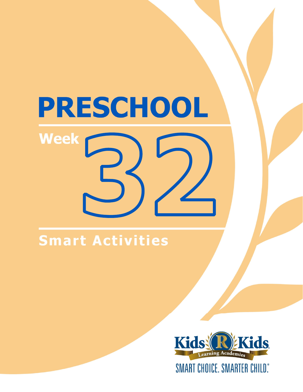# PRESCHOOL **Week**

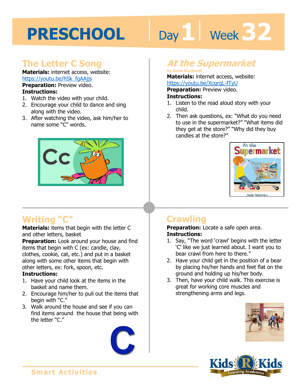# Day 1 | Week 32

### **The Letter C Song**

**Materials:** internet access, website: https://youtu.be/hSk\_fgAAjjs

**Preparation:** Preview video. **Instructions:** 

- 1. Watch the video with your child.
- 2. Encourage your child to dance and sing along with the video.
- 3. After watching the video, ask him/her to name some "C" words.



# **Writing "C"**

**Materials:** items that begin with the letter C and other letters, basket

**Preparation:** Look around your house and find items that begin with C (ex: candle, clay, clothes, cookie, cat, etc.) and put in a basket along with some other items that begin with other letters, ex: fork, spoon, etc.

#### **Instructions:**

- 1. Have your child look at the items in the basket and name them.
- 2. Encourage him/her to pull out the items that begin with "C."
- 3. Walk around the house and see if you can find items around the house that being with the letter "C."



## **At the Supermarket**

#### **by Anne Rockwell**

**Materials:** internet access, website: https://youtu.be/XcqrqL-fTyU

**1 4 Preparation:** Preview video. **Instructions:** 

- 1. Listen to the read aloud story with your child.
- 2. Then ask questions, ex: "What do you need to use in the supermarket?" "What items did they get at the store?" "Why did they buy candles at the store?"



## **Crawling**

**Preparation:** Locate a safe open area. **Instructions:** 

- 1. Say, "The word 'crawl' begins with the letter 'C' like we just learned about. I want you to bear crawl from here to there."
- 2. Have your child get in the position of a bear by placing his/her hands and feet flat on the ground and holding up his/her body.
- 3. Then, have your child walk. This exercise is great for working core muscles and strengthening arms and legs.



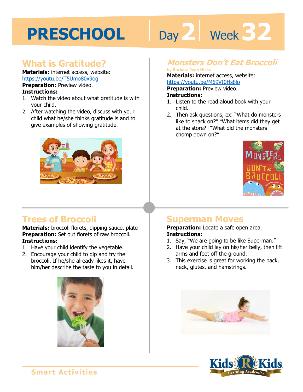# Day 2 | Week 32

### **What is Gratitude?**

**Materials:** internet access, website: https://youtu.be/T5Umo80x9og **Preparation:** Preview video.

#### **Instructions:**

- 1. Watch the video about what gratitude is with your child.
- 2. After watching the video, discuss with your child what he/she thinks gratitude is and to give examples of showing gratitude.



### **Monsters Don't Eat Broccoli**

**by Barbara Jean Hicks** 

**Materials:** internet access, website: https://youtu.be/M69VI0Hs8lo

**Preparation:** Preview video.

#### **Instructions:**

- https://youtu.be/M69VI0Hs8lo<br>**Preparation:** Preview video.<br>**Instructions:**<br>1. Listen to the read aloud book with your child.
- 2. Then ask questions, ex: "What do monsters like to snack on?" "What items did they get at the store?" "What did the monsters chomp down on?"



# **Trees of Broccoli**

**Materials:** broccoli florets, dipping sauce, plate **Preparation:** Set out florets of raw broccoli. **Instructions:** 

- 1. Have your child identify the vegetable.
- 2. Encourage your child to dip and try the broccoli. If he/she already likes it, have him/her describe the taste to you in detail.



### **Superman Moves**

**Preparation:** Locate a safe open area. **Instructions:** 

- 1. Say, "We are going to be like Superman."
- 2. Have your child lay on his/her belly, then lift arms and feet off the ground.
- 3. This exercise is great for working the back, neck, glutes, and hamstrings.



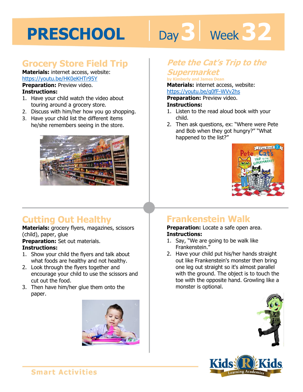# Day 3 | Week 32

## **Grocery Store Field Trip**

**Materials:** internet access, website: https://youtu.be/HK0eKHTr95Y **Preparation:** Preview video.

#### **Instructions:**

- 1. Have your child watch the video about touring around a grocery store.
- 2. Discuss with him/her how you go shopping.
- 3. Have your child list the different items he/she remembers seeing in the store.



# **Cutting Out Healthy**

**Materials:** grocery flyers, magazines, scissors (child), paper, glue

**Preparation:** Set out materials.

#### **Instructions:**

- 1. Show your child the flyers and talk about what foods are healthy and not healthy.
- 2. Look through the flyers together and encourage your child to use the scissors and cut out the food.
- 3. Then have him/her glue them onto the paper.



### **Pete the Cat's Trip to the Supermarket**

#### **by Kimberly and James Dean**

by Kimberly and James Dean<br>**Materials:** internet access, website:<br>https://youtu.be/g0fF-WVv2hs<br>**Preparation:** Preview video.

https://youtu.be/g0fF-WVv2hs

#### **Preparation:** Preview video.

#### **Instructions:**

- 1. Listen to the read aloud book with your child.
- 2. Then ask questions, ex: "Where were Pete and Bob when they got hungry?" "What happened to the list?"



# **Frankenstein Walk**

#### **Preparation:** Locate a safe open area. **Instructions:**

- 1. Say, "We are going to be walk like Frankenstein."
- 2. Have your child put his/her hands straight out like Frankenstein's monster then bring one leg out straight so it's almost parallel with the ground. The object is to touch the toe with the opposite hand. Growling like a monster is optional.



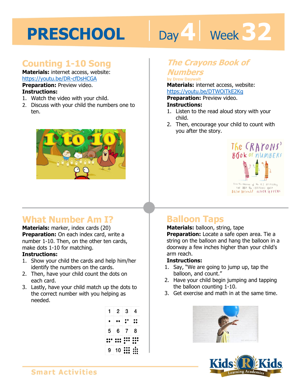# Day 4 **Week 32**

## **Counting 1-10 Song**

**Materials:** internet access, website: https://youtu.be/DR-cfDsHCGA

**Preparation:** Preview video. **Instructions:** 

- 1. Watch the video with your child.
- 2. Discuss with your child the numbers one to ten.



# **What Number Am I?**

**Materials:** marker, index cards (20) **Preparation:** On each index card, write a number 1-10. Then, on the other ten cards, make dots 1-10 for matching.

#### **Instructions:**

- 1. Show your child the cards and help him/her identify the numbers on the cards.
- 2. Then, have your child count the dots on each card.
- 3. Lastly, have your child match up the dots to the correct number with you helping as needed.

|        | 2                       | 3                                 | 4  |
|--------|-------------------------|-----------------------------------|----|
|        |                         |                                   |    |
|        |                         |                                   |    |
| ----   | diam.                   | <b>State of Contract Contract</b> |    |
|        |                         |                                   |    |
|        |                         |                                   |    |
|        | ، (                     |                                   | ,  |
|        |                         |                                   | •• |
|        |                         |                                   |    |
|        |                         | $\Delta \mathcal{L}_\text{c}$     |    |
|        |                         |                                   |    |
|        |                         |                                   |    |
|        |                         |                                   | 8  |
| 5      | 6                       |                                   |    |
|        |                         |                                   |    |
| $\sim$ |                         | diam.<br>$\sim$                   |    |
|        |                         |                                   |    |
|        |                         | יפ                                |    |
| ٠      | $\bullet\bullet\bullet$ |                                   |    |
|        |                         |                                   |    |
|        |                         |                                   |    |
| $\sim$ |                         | ۰                                 |    |
|        |                         |                                   |    |
|        |                         |                                   |    |
|        | 10                      |                                   |    |
|        |                         | ,,<br>,                           |    |

# **The Crayons Book of**

#### **Numbers by Drew Daywalt**

by Drew Daywart<br>**Materials:** internet access, website:<br>https://youtu.be/DTWOiTkE2Kg<br>**Preparation:** Preview video.

https://youtu.be/DTWOiTkE2Kg

**Preparation:** Preview video.

#### **Instructions:**

- 1. Listen to the read aloud story with your child.
- 2. Then, encourage your child to count with you after the story.



# **Balloon Taps**

**Materials:** balloon, string, tape **Preparation:** Locate a safe open area. Tie a string on the balloon and hang the balloon in a doorway a few inches higher than your child's arm reach.

#### **Instructions:**

- 1. Say, "We are going to jump up, tap the balloon, and count."
- 2. Have your child begin jumping and tapping the balloon counting 1-10.
- 3. Get exercise and math in at the same time.